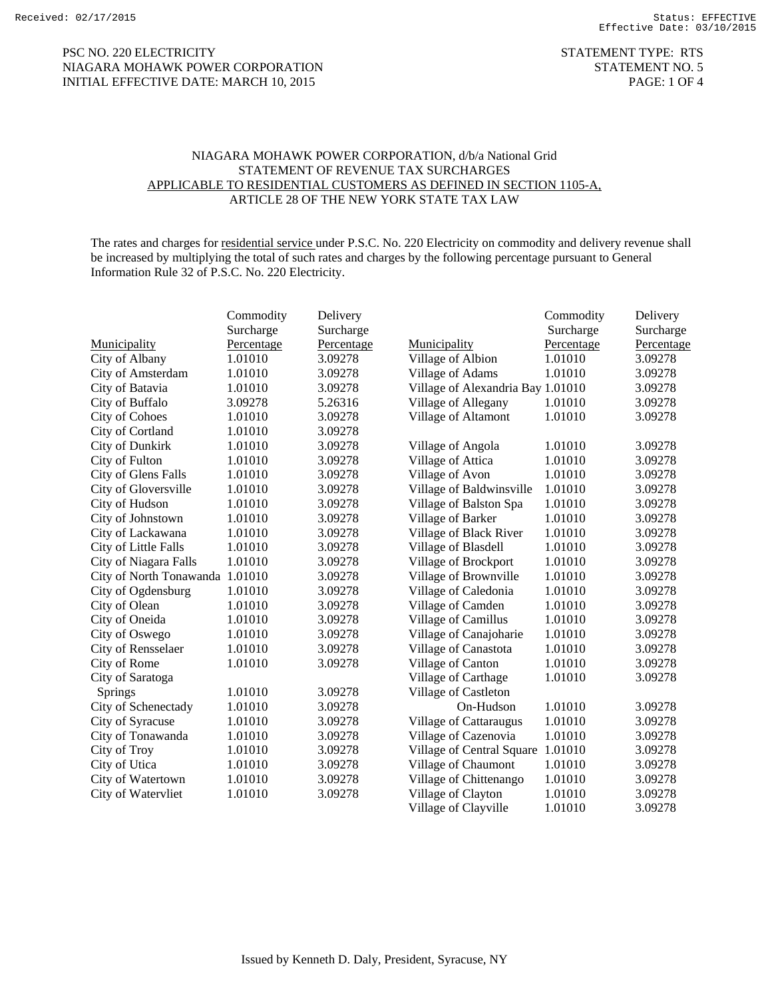## PSC NO. 220 ELECTRICITY STATEMENT TYPE: RTS NIAGARA MOHAWK POWER CORPORATION STATEMENT NO. 5 INITIAL EFFECTIVE DATE: MARCH 10, 2015 PAGE: 1 OF 4

## NIAGARA MOHAWK POWER CORPORATION, d/b/a National Grid STATEMENT OF REVENUE TAX SURCHARGES APPLICABLE TO RESIDENTIAL CUSTOMERS AS DEFINED IN SECTION 1105-A, ARTICLE 28 OF THE NEW YORK STATE TAX LAW

The rates and charges for residential service under P.S.C. No. 220 Electricity on commodity and delivery revenue shall be increased by multiplying the total of such rates and charges by the following percentage pursuant to General Information Rule 32 of P.S.C. No. 220 Electricity.

|              |                                 | Commodity  | Delivery   |                                   | Commodity  | Delivery   |
|--------------|---------------------------------|------------|------------|-----------------------------------|------------|------------|
|              |                                 | Surcharge  | Surcharge  |                                   | Surcharge  | Surcharge  |
|              | Municipality                    | Percentage | Percentage | Municipality                      | Percentage | Percentage |
|              | City of Albany                  | 1.01010    | 3.09278    | Village of Albion                 | 1.01010    | 3.09278    |
|              | City of Amsterdam               | 1.01010    | 3.09278    | Village of Adams                  | 1.01010    | 3.09278    |
|              | City of Batavia                 | 1.01010    | 3.09278    | Village of Alexandria Bay 1.01010 |            | 3.09278    |
|              | City of Buffalo                 | 3.09278    | 5.26316    | Village of Allegany               | 1.01010    | 3.09278    |
|              | <b>City of Cohoes</b>           | 1.01010    | 3.09278    | Village of Altamont               | 1.01010    | 3.09278    |
|              | City of Cortland                | 1.01010    | 3.09278    |                                   |            |            |
|              | City of Dunkirk                 | 1.01010    | 3.09278    | Village of Angola                 | 1.01010    | 3.09278    |
|              | City of Fulton                  | 1.01010    | 3.09278    | Village of Attica                 | 1.01010    | 3.09278    |
|              | City of Glens Falls             | 1.01010    | 3.09278    | Village of Avon                   | 1.01010    | 3.09278    |
|              | City of Gloversville            | 1.01010    | 3.09278    | Village of Baldwinsville          | 1.01010    | 3.09278    |
|              | City of Hudson                  | 1.01010    | 3.09278    | Village of Balston Spa            | 1.01010    | 3.09278    |
|              | City of Johnstown               | 1.01010    | 3.09278    | Village of Barker                 | 1.01010    | 3.09278    |
|              | City of Lackawana               | 1.01010    | 3.09278    | Village of Black River            | 1.01010    | 3.09278    |
|              | City of Little Falls            | 1.01010    | 3.09278    | Village of Blasdell               | 1.01010    | 3.09278    |
|              | City of Niagara Falls           | 1.01010    | 3.09278    | Village of Brockport              | 1.01010    | 3.09278    |
|              | City of North Tonawanda 1.01010 |            | 3.09278    | Village of Brownville             | 1.01010    | 3.09278    |
|              | City of Ogdensburg              | 1.01010    | 3.09278    | Village of Caledonia              | 1.01010    | 3.09278    |
|              | City of Olean                   | 1.01010    | 3.09278    | Village of Camden                 | 1.01010    | 3.09278    |
|              | City of Oneida                  | 1.01010    | 3.09278    | Village of Camillus               | 1.01010    | 3.09278    |
|              | City of Oswego                  | 1.01010    | 3.09278    | Village of Canajoharie            | 1.01010    | 3.09278    |
|              | City of Rensselaer              | 1.01010    | 3.09278    | Village of Canastota              | 1.01010    | 3.09278    |
|              | City of Rome                    | 1.01010    | 3.09278    | Village of Canton                 | 1.01010    | 3.09278    |
|              | City of Saratoga                |            |            | Village of Carthage               | 1.01010    | 3.09278    |
| Springs      |                                 | 1.01010    | 3.09278    | Village of Castleton              |            |            |
|              | City of Schenectady             | 1.01010    | 3.09278    | On-Hudson                         | 1.01010    | 3.09278    |
|              | City of Syracuse                | 1.01010    | 3.09278    | Village of Cattaraugus            | 1.01010    | 3.09278    |
|              | City of Tonawanda               | 1.01010    | 3.09278    | Village of Cazenovia              | 1.01010    | 3.09278    |
| City of Troy |                                 | 1.01010    | 3.09278    | Village of Central Square         | 1.01010    | 3.09278    |
|              | City of Utica                   | 1.01010    | 3.09278    | Village of Chaumont               | 1.01010    | 3.09278    |
|              | City of Watertown               | 1.01010    | 3.09278    | Village of Chittenango            | 1.01010    | 3.09278    |
|              | City of Watervliet              | 1.01010    | 3.09278    | Village of Clayton                | 1.01010    | 3.09278    |
|              |                                 |            |            | Village of Clayville              | 1.01010    | 3.09278    |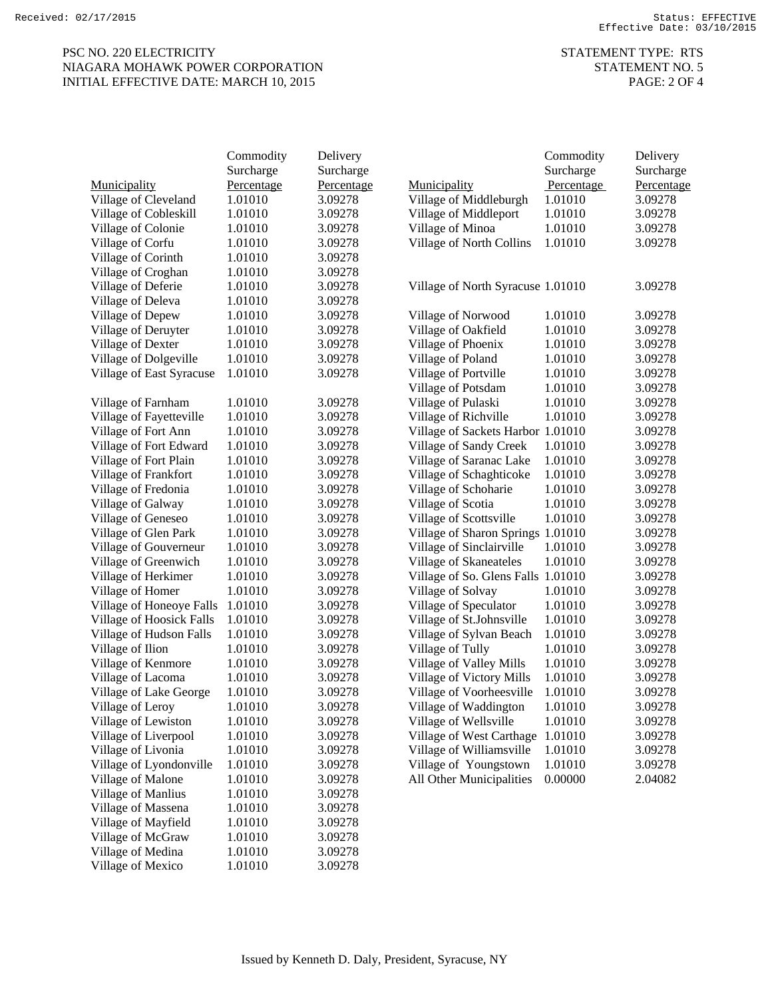# PSC NO. 220 ELECTRICITY STATEMENT TYPE: RTS NIAGARA MOHAWK POWER CORPORATION STATEMENT NO. 5 INITIAL EFFECTIVE DATE: MARCH 10, 2015 PAGE: 2 OF 4

|                          | Commodity  | Delivery   |                                    | Commodity  | Delivery   |
|--------------------------|------------|------------|------------------------------------|------------|------------|
|                          | Surcharge  | Surcharge  |                                    | Surcharge  | Surcharge  |
| Municipality             | Percentage | Percentage | Municipality                       | Percentage | Percentage |
| Village of Cleveland     | 1.01010    | 3.09278    | Village of Middleburgh             | 1.01010    | 3.09278    |
| Village of Cobleskill    | 1.01010    | 3.09278    | Village of Middleport              | 1.01010    | 3.09278    |
| Village of Colonie       | 1.01010    | 3.09278    | Village of Minoa                   | 1.01010    | 3.09278    |
| Village of Corfu         | 1.01010    | 3.09278    | Village of North Collins           | 1.01010    | 3.09278    |
| Village of Corinth       | 1.01010    | 3.09278    |                                    |            |            |
| Village of Croghan       | 1.01010    | 3.09278    |                                    |            |            |
| Village of Deferie       | 1.01010    | 3.09278    | Village of North Syracuse 1.01010  |            | 3.09278    |
| Village of Deleva        | 1.01010    | 3.09278    |                                    |            |            |
| Village of Depew         | 1.01010    | 3.09278    | Village of Norwood                 | 1.01010    | 3.09278    |
| Village of Deruyter      | 1.01010    | 3.09278    | Village of Oakfield                | 1.01010    | 3.09278    |
| Village of Dexter        | 1.01010    | 3.09278    | Village of Phoenix                 | 1.01010    | 3.09278    |
| Village of Dolgeville    | 1.01010    | 3.09278    | Village of Poland                  | 1.01010    | 3.09278    |
| Village of East Syracuse | 1.01010    | 3.09278    | Village of Portville               | 1.01010    | 3.09278    |
|                          |            |            | Village of Potsdam                 | 1.01010    | 3.09278    |
| Village of Farnham       | 1.01010    | 3.09278    | Village of Pulaski                 | 1.01010    | 3.09278    |
| Village of Fayetteville  | 1.01010    | 3.09278    | Village of Richville               | 1.01010    | 3.09278    |
| Village of Fort Ann      | 1.01010    | 3.09278    | Village of Sackets Harbor 1.01010  |            | 3.09278    |
| Village of Fort Edward   | 1.01010    | 3.09278    | Village of Sandy Creek             | 1.01010    | 3.09278    |
| Village of Fort Plain    | 1.01010    | 3.09278    | Village of Saranac Lake            | 1.01010    | 3.09278    |
| Village of Frankfort     | 1.01010    | 3.09278    | Village of Schaghticoke            | 1.01010    | 3.09278    |
| Village of Fredonia      | 1.01010    | 3.09278    | Village of Schoharie               | 1.01010    | 3.09278    |
| Village of Galway        | 1.01010    | 3.09278    | Village of Scotia                  | 1.01010    | 3.09278    |
| Village of Geneseo       | 1.01010    | 3.09278    | Village of Scottsville             | 1.01010    | 3.09278    |
| Village of Glen Park     | 1.01010    | 3.09278    | Village of Sharon Springs 1.01010  |            | 3.09278    |
| Village of Gouverneur    | 1.01010    | 3.09278    | Village of Sinclairville           | 1.01010    | 3.09278    |
| Village of Greenwich     | 1.01010    | 3.09278    | Village of Skaneateles             | 1.01010    | 3.09278    |
| Village of Herkimer      | 1.01010    | 3.09278    | Village of So. Glens Falls 1.01010 |            | 3.09278    |
| Village of Homer         | 1.01010    | 3.09278    | Village of Solvay                  | 1.01010    | 3.09278    |
| Village of Honeoye Falls | 1.01010    | 3.09278    | Village of Speculator              | 1.01010    | 3.09278    |
| Village of Hoosick Falls | 1.01010    | 3.09278    | Village of St.Johnsville           | 1.01010    | 3.09278    |
| Village of Hudson Falls  | 1.01010    | 3.09278    | Village of Sylvan Beach            | 1.01010    | 3.09278    |
| Village of Ilion         | 1.01010    | 3.09278    | Village of Tully                   | 1.01010    | 3.09278    |
| Village of Kenmore       | 1.01010    | 3.09278    | Village of Valley Mills            | 1.01010    | 3.09278    |
| Village of Lacoma        | 1.01010    | 3.09278    | Village of Victory Mills           | 1.01010    | 3.09278    |
| Village of Lake George   | 1.01010    | 3.09278    | Village of Voorheesville           | 1.01010    | 3.09278    |
| Village of Leroy         | 1.01010    | 3.09278    | Village of Waddington              | 1.01010    | 3.09278    |
| Village of Lewiston      | 1.01010    | 3.09278    | Village of Wellsville              | 1.01010    | 3.09278    |
| Village of Liverpool     | 1.01010    | 3.09278    | Village of West Carthage           | 1.01010    | 3.09278    |
| Village of Livonia       | 1.01010    | 3.09278    | Village of Williamsville           | 1.01010    | 3.09278    |
| Village of Lyondonville  | 1.01010    | 3.09278    | Village of Youngstown              | 1.01010    | 3.09278    |
| Village of Malone        | 1.01010    | 3.09278    | All Other Municipalities           | 0.00000    | 2.04082    |
| Village of Manlius       | 1.01010    | 3.09278    |                                    |            |            |
| Village of Massena       | 1.01010    | 3.09278    |                                    |            |            |
| Village of Mayfield      | 1.01010    | 3.09278    |                                    |            |            |
| Village of McGraw        | 1.01010    | 3.09278    |                                    |            |            |
| Village of Medina        | 1.01010    | 3.09278    |                                    |            |            |
| Village of Mexico        | 1.01010    | 3.09278    |                                    |            |            |
|                          |            |            |                                    |            |            |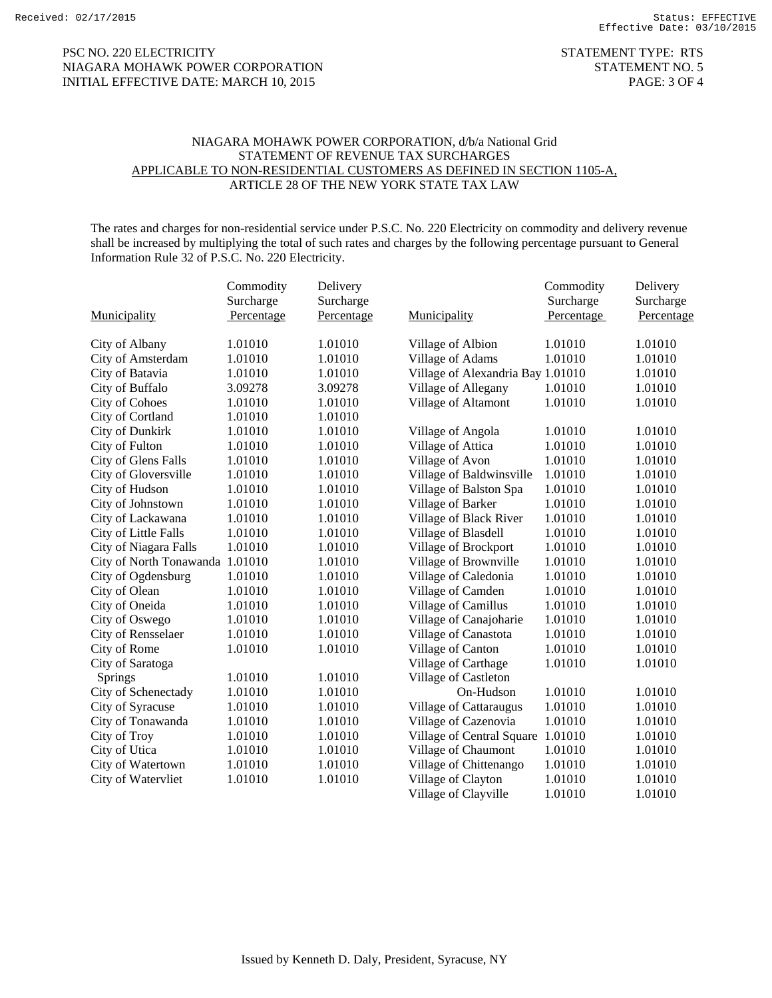## PSC NO. 220 ELECTRICITY STATEMENT TYPE: RTS NIAGARA MOHAWK POWER CORPORATION STATEMENT NO. 5 INITIAL EFFECTIVE DATE: MARCH 10, 2015 PAGE: 3 OF 4

## NIAGARA MOHAWK POWER CORPORATION, d/b/a National Grid STATEMENT OF REVENUE TAX SURCHARGES APPLICABLE TO NON-RESIDENTIAL CUSTOMERS AS DEFINED IN SECTION 1105-A, ARTICLE 28 OF THE NEW YORK STATE TAX LAW

The rates and charges for non-residential service under P.S.C. No. 220 Electricity on commodity and delivery revenue shall be increased by multiplying the total of such rates and charges by the following percentage pursuant to General Information Rule 32 of P.S.C. No. 220 Electricity.

| Municipality                    | Commodity<br>Surcharge<br>Percentage | Delivery<br>Surcharge<br>Percentage | Municipality                      | Commodity<br>Surcharge<br>Percentage | Delivery<br>Surcharge<br>Percentage |
|---------------------------------|--------------------------------------|-------------------------------------|-----------------------------------|--------------------------------------|-------------------------------------|
| City of Albany                  | 1.01010                              | 1.01010                             | Village of Albion                 | 1.01010                              | 1.01010                             |
| City of Amsterdam               | 1.01010                              | 1.01010                             | Village of Adams                  | 1.01010                              | 1.01010                             |
| City of Batavia                 | 1.01010                              | 1.01010                             | Village of Alexandria Bay 1.01010 |                                      | 1.01010                             |
| City of Buffalo                 | 3.09278                              | 3.09278                             | Village of Allegany               | 1.01010                              | 1.01010                             |
| <b>City of Cohoes</b>           | 1.01010                              | 1.01010                             | Village of Altamont               | 1.01010                              | 1.01010                             |
| City of Cortland                | 1.01010                              | 1.01010                             |                                   |                                      |                                     |
| City of Dunkirk                 | 1.01010                              | 1.01010                             | Village of Angola                 | 1.01010                              | 1.01010                             |
| City of Fulton                  | 1.01010                              | 1.01010                             | Village of Attica                 | 1.01010                              | 1.01010                             |
| City of Glens Falls             | 1.01010                              | 1.01010                             | Village of Avon                   | 1.01010                              | 1.01010                             |
| City of Gloversville            | 1.01010                              | 1.01010                             | Village of Baldwinsville          | 1.01010                              | 1.01010                             |
| City of Hudson                  | 1.01010                              | 1.01010                             | Village of Balston Spa            | 1.01010                              | 1.01010                             |
| City of Johnstown               | 1.01010                              | 1.01010                             | Village of Barker                 | 1.01010                              | 1.01010                             |
| City of Lackawana               | 1.01010                              | 1.01010                             | Village of Black River            | 1.01010                              | 1.01010                             |
| City of Little Falls            | 1.01010                              | 1.01010                             | Village of Blasdell               | 1.01010                              | 1.01010                             |
| City of Niagara Falls           | 1.01010                              | 1.01010                             | Village of Brockport              | 1.01010                              | 1.01010                             |
| City of North Tonawanda 1.01010 |                                      | 1.01010                             | Village of Brownville             | 1.01010                              | 1.01010                             |
| City of Ogdensburg              | 1.01010                              | 1.01010                             | Village of Caledonia              | 1.01010                              | 1.01010                             |
| City of Olean                   | 1.01010                              | 1.01010                             | Village of Camden                 | 1.01010                              | 1.01010                             |
| City of Oneida                  | 1.01010                              | 1.01010                             | Village of Camillus               | 1.01010                              | 1.01010                             |
| City of Oswego                  | 1.01010                              | 1.01010                             | Village of Canajoharie            | 1.01010                              | 1.01010                             |
| City of Rensselaer              | 1.01010                              | 1.01010                             | Village of Canastota              | 1.01010                              | 1.01010                             |
| City of Rome                    | 1.01010                              | 1.01010                             | Village of Canton                 | 1.01010                              | 1.01010                             |
| City of Saratoga                |                                      |                                     | Village of Carthage               | 1.01010                              | 1.01010                             |
| Springs                         | 1.01010                              | 1.01010                             | Village of Castleton              |                                      |                                     |
| City of Schenectady             | 1.01010                              | 1.01010                             | On-Hudson                         | 1.01010                              | 1.01010                             |
| City of Syracuse                | 1.01010                              | 1.01010                             | Village of Cattaraugus            | 1.01010                              | 1.01010                             |
| City of Tonawanda               | 1.01010                              | 1.01010                             | Village of Cazenovia              | 1.01010                              | 1.01010                             |
| City of Troy                    | 1.01010                              | 1.01010                             | Village of Central Square         | 1.01010                              | 1.01010                             |
| City of Utica                   | 1.01010                              | 1.01010                             | Village of Chaumont               | 1.01010                              | 1.01010                             |
| City of Watertown               | 1.01010                              | 1.01010                             | Village of Chittenango            | 1.01010                              | 1.01010                             |
| City of Watervliet              | 1.01010                              | 1.01010                             | Village of Clayton                | 1.01010                              | 1.01010                             |
|                                 |                                      |                                     | Village of Clayville              | 1.01010                              | 1.01010                             |